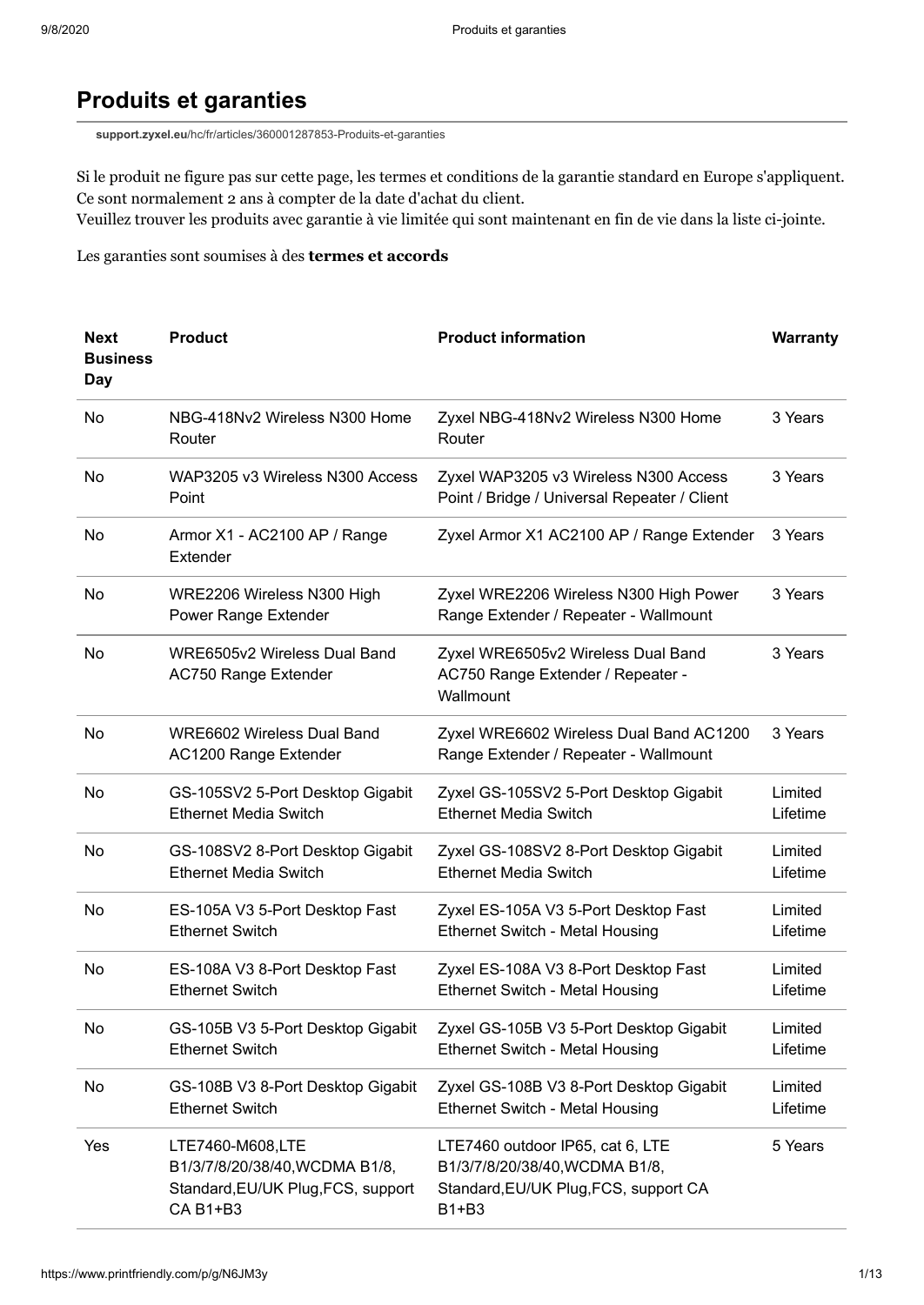## **Produits et garanties**

**support.zyxel.eu**[/hc/fr/articles/360001287853-Produits-et-garanties](https://support.zyxel.eu/hc/fr/articles/360001287853-Produits-et-garanties)

Si le produit ne figure pas sur cette page, les termes et conditions de la garantie standard en Europe s'appliquent. Ce sont normalement 2 ans à compter de la date d'achat du client.

Veuillez trouver les produits avec garantie à vie limitée qui sont maintenant en fin de vie dans la liste ci-jointe.

Les garanties sont soumises à des **[termes et accords](https://support.zyxel.eu/hc/en-us/articles/360001287933-Warranty-Terms-and-Conditions)**

| <b>Next</b><br><b>Business</b><br>Day | <b>Product</b>                                                                                       | <b>Product information</b>                                                                                           | <b>Warranty</b>     |
|---------------------------------------|------------------------------------------------------------------------------------------------------|----------------------------------------------------------------------------------------------------------------------|---------------------|
| No.                                   | NBG-418Nv2 Wireless N300 Home<br>Router                                                              | Zyxel NBG-418Nv2 Wireless N300 Home<br>Router                                                                        | 3 Years             |
| No                                    | WAP3205 v3 Wireless N300 Access<br>Point                                                             | Zyxel WAP3205 v3 Wireless N300 Access<br>Point / Bridge / Universal Repeater / Client                                | 3 Years             |
| No                                    | Armor X1 - AC2100 AP / Range<br>Extender                                                             | Zyxel Armor X1 AC2100 AP / Range Extender                                                                            | 3 Years             |
| No                                    | WRE2206 Wireless N300 High<br>Power Range Extender                                                   | Zyxel WRE2206 Wireless N300 High Power<br>Range Extender / Repeater - Wallmount                                      | 3 Years             |
| No                                    | WRE6505v2 Wireless Dual Band<br><b>AC750 Range Extender</b>                                          | Zyxel WRE6505v2 Wireless Dual Band<br>AC750 Range Extender / Repeater -<br>Wallmount                                 | 3 Years             |
| No                                    | <b>WRE6602 Wireless Dual Band</b><br>AC1200 Range Extender                                           | Zyxel WRE6602 Wireless Dual Band AC1200<br>Range Extender / Repeater - Wallmount                                     | 3 Years             |
| No                                    | GS-105SV2 5-Port Desktop Gigabit<br><b>Ethernet Media Switch</b>                                     | Zyxel GS-105SV2 5-Port Desktop Gigabit<br><b>Ethernet Media Switch</b>                                               | Limited<br>Lifetime |
| No                                    | GS-108SV2 8-Port Desktop Gigabit<br><b>Ethernet Media Switch</b>                                     | Zyxel GS-108SV2 8-Port Desktop Gigabit<br><b>Ethernet Media Switch</b>                                               | Limited<br>Lifetime |
| No                                    | ES-105A V3 5-Port Desktop Fast<br><b>Ethernet Switch</b>                                             | Zyxel ES-105A V3 5-Port Desktop Fast<br><b>Ethernet Switch - Metal Housing</b>                                       | Limited<br>Lifetime |
| No                                    | ES-108A V3 8-Port Desktop Fast<br><b>Ethernet Switch</b>                                             | Zyxel ES-108A V3 8-Port Desktop Fast<br><b>Ethernet Switch - Metal Housing</b>                                       | Limited<br>Lifetime |
| No                                    | GS-105B V3 5-Port Desktop Gigabit<br><b>Ethernet Switch</b>                                          | Zyxel GS-105B V3 5-Port Desktop Gigabit<br><b>Ethernet Switch - Metal Housing</b>                                    | Limited<br>Lifetime |
| No                                    | GS-108B V3 8-Port Desktop Gigabit<br><b>Ethernet Switch</b>                                          | Zyxel GS-108B V3 8-Port Desktop Gigabit<br><b>Ethernet Switch - Metal Housing</b>                                    | Limited<br>Lifetime |
| Yes                                   | LTE7460-M608,LTE<br>B1/3/7/8/20/38/40, WCDMA B1/8,<br>Standard, EU/UK Plug, FCS, support<br>CA B1+B3 | LTE7460 outdoor IP65, cat 6, LTE<br>B1/3/7/8/20/38/40, WCDMA B1/8,<br>Standard, EU/UK Plug, FCS, support CA<br>B1+B3 | 5 Years             |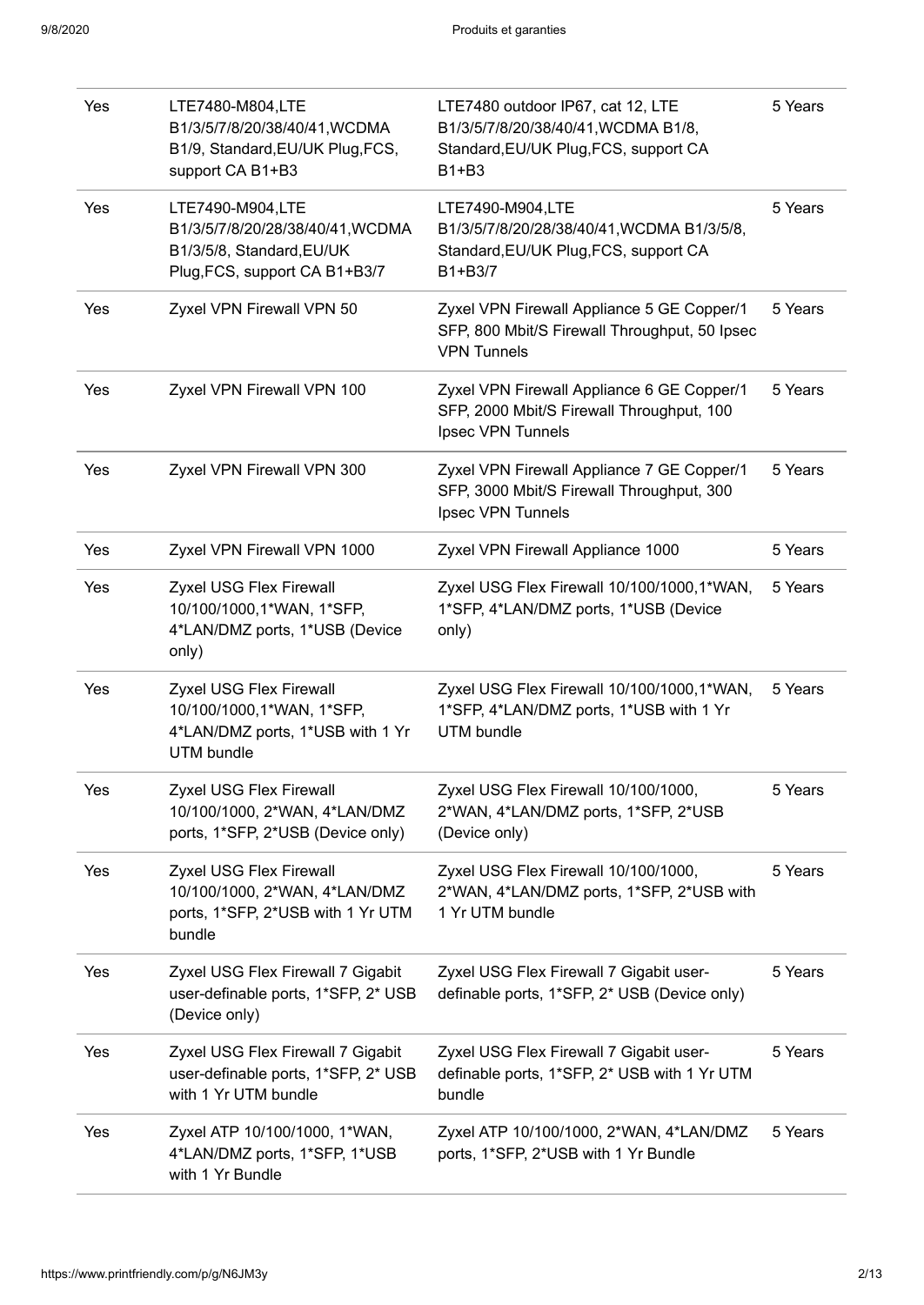| Yes | LTE7480-M804,LTE<br>B1/3/5/7/8/20/38/40/41, WCDMA<br>B1/9, Standard, EU/UK Plug, FCS,<br>support CA B1+B3          | LTE7480 outdoor IP67, cat 12, LTE<br>B1/3/5/7/8/20/38/40/41, WCDMA B1/8,<br>Standard, EU/UK Plug, FCS, support CA<br>B1+B3 | 5 Years |
|-----|--------------------------------------------------------------------------------------------------------------------|----------------------------------------------------------------------------------------------------------------------------|---------|
| Yes | LTE7490-M904,LTE<br>B1/3/5/7/8/20/28/38/40/41, WCDMA<br>B1/3/5/8, Standard, EU/UK<br>Plug, FCS, support CA B1+B3/7 | LTE7490-M904,LTE<br>B1/3/5/7/8/20/28/38/40/41, WCDMA B1/3/5/8,<br>Standard, EU/UK Plug, FCS, support CA<br>B1+B3/7         | 5 Years |
| Yes | Zyxel VPN Firewall VPN 50                                                                                          | Zyxel VPN Firewall Appliance 5 GE Copper/1<br>SFP, 800 Mbit/S Firewall Throughput, 50 Ipsec<br><b>VPN Tunnels</b>          | 5 Years |
| Yes | Zyxel VPN Firewall VPN 100                                                                                         | Zyxel VPN Firewall Appliance 6 GE Copper/1<br>SFP, 2000 Mbit/S Firewall Throughput, 100<br>Ipsec VPN Tunnels               | 5 Years |
| Yes | Zyxel VPN Firewall VPN 300                                                                                         | Zyxel VPN Firewall Appliance 7 GE Copper/1<br>SFP, 3000 Mbit/S Firewall Throughput, 300<br>Ipsec VPN Tunnels               | 5 Years |
| Yes | Zyxel VPN Firewall VPN 1000                                                                                        | Zyxel VPN Firewall Appliance 1000                                                                                          | 5 Years |
| Yes | Zyxel USG Flex Firewall<br>10/100/1000,1*WAN, 1*SFP,<br>4*LAN/DMZ ports, 1*USB (Device<br>only)                    | Zyxel USG Flex Firewall 10/100/1000,1*WAN,<br>1*SFP, 4*LAN/DMZ ports, 1*USB (Device<br>only)                               | 5 Years |
| Yes | Zyxel USG Flex Firewall<br>10/100/1000,1*WAN, 1*SFP,<br>4*LAN/DMZ ports, 1*USB with 1 Yr<br><b>UTM</b> bundle      | Zyxel USG Flex Firewall 10/100/1000,1*WAN,<br>1*SFP, 4*LAN/DMZ ports, 1*USB with 1 Yr<br><b>UTM</b> bundle                 | 5 Years |
| Yes | Zyxel USG Flex Firewall<br>10/100/1000, 2*WAN, 4*LAN/DMZ<br>ports, 1*SFP, 2*USB (Device only)                      | Zyxel USG Flex Firewall 10/100/1000,<br>2*WAN, 4*LAN/DMZ ports, 1*SFP, 2*USB<br>(Device only)                              | 5 Years |
| Yes | Zyxel USG Flex Firewall<br>10/100/1000, 2*WAN, 4*LAN/DMZ<br>ports, 1*SFP, 2*USB with 1 Yr UTM<br>bundle            | Zyxel USG Flex Firewall 10/100/1000,<br>2*WAN, 4*LAN/DMZ ports, 1*SFP, 2*USB with<br>1 Yr UTM bundle                       | 5 Years |
| Yes | Zyxel USG Flex Firewall 7 Gigabit<br>user-definable ports, 1*SFP, 2* USB<br>(Device only)                          | Zyxel USG Flex Firewall 7 Gigabit user-<br>definable ports, 1*SFP, 2* USB (Device only)                                    | 5 Years |
| Yes | Zyxel USG Flex Firewall 7 Gigabit<br>user-definable ports, 1*SFP, 2* USB<br>with 1 Yr UTM bundle                   | Zyxel USG Flex Firewall 7 Gigabit user-<br>definable ports, 1*SFP, 2* USB with 1 Yr UTM<br>bundle                          | 5 Years |
| Yes | Zyxel ATP 10/100/1000, 1*WAN,<br>4*LAN/DMZ ports, 1*SFP, 1*USB<br>with 1 Yr Bundle                                 | Zyxel ATP 10/100/1000, 2*WAN, 4*LAN/DMZ<br>ports, 1*SFP, 2*USB with 1 Yr Bundle                                            | 5 Years |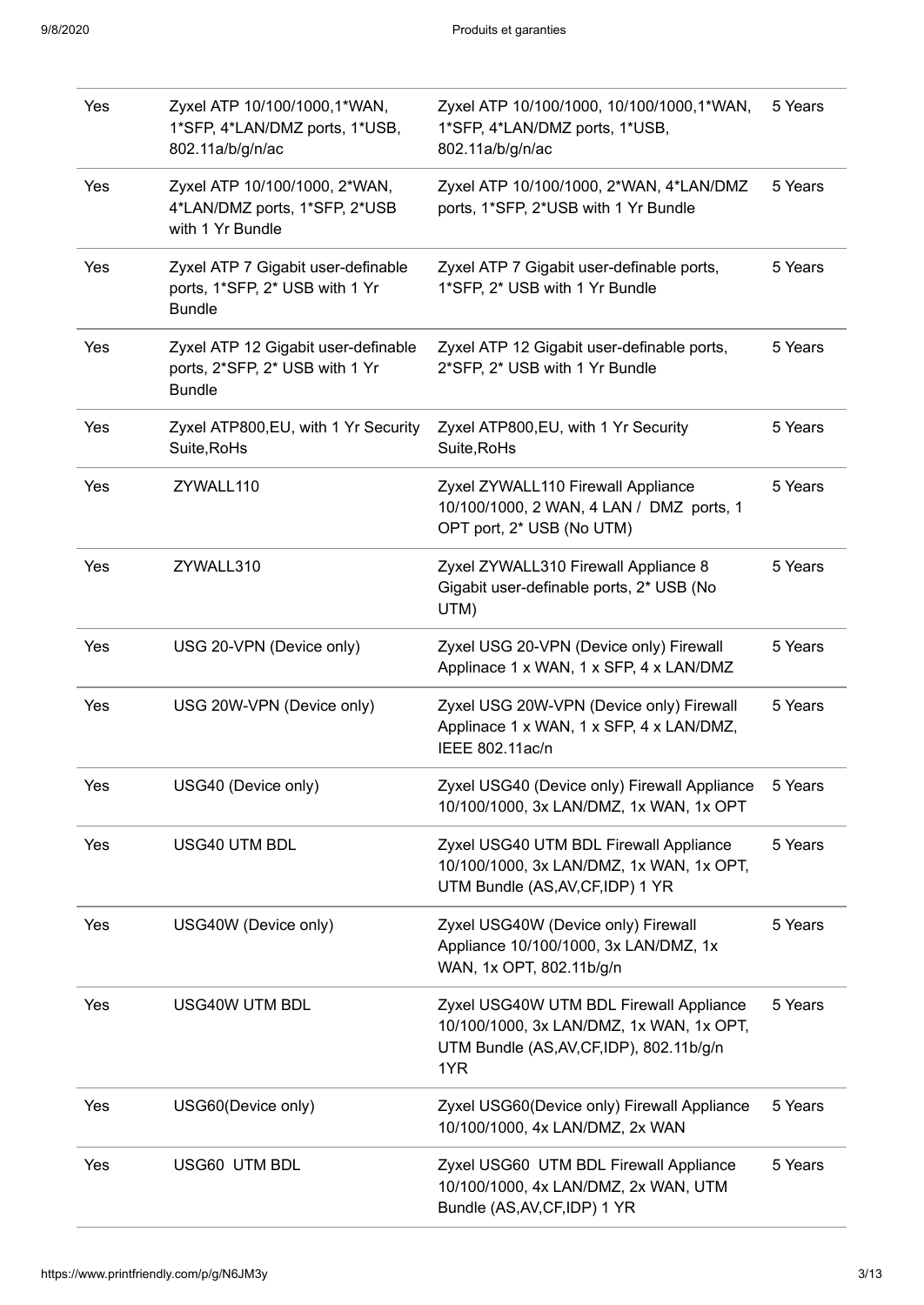| Yes | Zyxel ATP 10/100/1000,1*WAN,<br>1*SFP, 4*LAN/DMZ ports, 1*USB,<br>802.11a/b/g/n/ac     | Zyxel ATP 10/100/1000, 10/100/1000,1*WAN,<br>1*SFP, 4*LAN/DMZ ports, 1*USB,<br>802.11a/b/g/n/ac                                         | 5 Years |
|-----|----------------------------------------------------------------------------------------|-----------------------------------------------------------------------------------------------------------------------------------------|---------|
| Yes | Zyxel ATP 10/100/1000, 2*WAN,<br>4*LAN/DMZ ports, 1*SFP, 2*USB<br>with 1 Yr Bundle     | Zyxel ATP 10/100/1000, 2*WAN, 4*LAN/DMZ<br>ports, 1*SFP, 2*USB with 1 Yr Bundle                                                         | 5 Years |
| Yes | Zyxel ATP 7 Gigabit user-definable<br>ports, 1*SFP, 2* USB with 1 Yr<br><b>Bundle</b>  | Zyxel ATP 7 Gigabit user-definable ports,<br>1*SFP, 2* USB with 1 Yr Bundle                                                             | 5 Years |
| Yes | Zyxel ATP 12 Gigabit user-definable<br>ports, 2*SFP, 2* USB with 1 Yr<br><b>Bundle</b> | Zyxel ATP 12 Gigabit user-definable ports,<br>2*SFP, 2* USB with 1 Yr Bundle                                                            | 5 Years |
| Yes | Zyxel ATP800, EU, with 1 Yr Security<br>Suite, RoHs                                    | Zyxel ATP800, EU, with 1 Yr Security<br>Suite, RoHs                                                                                     | 5 Years |
| Yes | ZYWALL110                                                                              | Zyxel ZYWALL110 Firewall Appliance<br>10/100/1000, 2 WAN, 4 LAN / DMZ ports, 1<br>OPT port, 2* USB (No UTM)                             | 5 Years |
| Yes | ZYWALL310                                                                              | Zyxel ZYWALL310 Firewall Appliance 8<br>Gigabit user-definable ports, 2* USB (No<br>UTM)                                                | 5 Years |
| Yes | USG 20-VPN (Device only)                                                               | Zyxel USG 20-VPN (Device only) Firewall<br>Applinace 1 x WAN, 1 x SFP, 4 x LAN/DMZ                                                      | 5 Years |
| Yes | USG 20W-VPN (Device only)                                                              | Zyxel USG 20W-VPN (Device only) Firewall<br>Applinace 1 x WAN, 1 x SFP, 4 x LAN/DMZ,<br>IEEE 802.11ac/n                                 | 5 Years |
| Yes | USG40 (Device only)                                                                    | Zyxel USG40 (Device only) Firewall Appliance<br>10/100/1000, 3x LAN/DMZ, 1x WAN, 1x OPT                                                 | 5 Years |
| Yes | USG40 UTM BDL                                                                          | Zyxel USG40 UTM BDL Firewall Appliance<br>10/100/1000, 3x LAN/DMZ, 1x WAN, 1x OPT,<br>UTM Bundle (AS, AV, CF, IDP) 1 YR                 | 5 Years |
| Yes | USG40W (Device only)                                                                   | Zyxel USG40W (Device only) Firewall<br>Appliance 10/100/1000, 3x LAN/DMZ, 1x<br>WAN, 1x OPT, 802.11b/g/n                                | 5 Years |
| Yes | <b>USG40W UTM BDL</b>                                                                  | Zyxel USG40W UTM BDL Firewall Appliance<br>10/100/1000, 3x LAN/DMZ, 1x WAN, 1x OPT,<br>UTM Bundle (AS, AV, CF, IDP), 802.11b/g/n<br>1YR | 5 Years |
| Yes | USG60(Device only)                                                                     | Zyxel USG60(Device only) Firewall Appliance<br>10/100/1000, 4x LAN/DMZ, 2x WAN                                                          | 5 Years |
| Yes | USG60 UTM BDL                                                                          | Zyxel USG60 UTM BDL Firewall Appliance<br>10/100/1000, 4x LAN/DMZ, 2x WAN, UTM<br>Bundle (AS, AV, CF, IDP) 1 YR                         | 5 Years |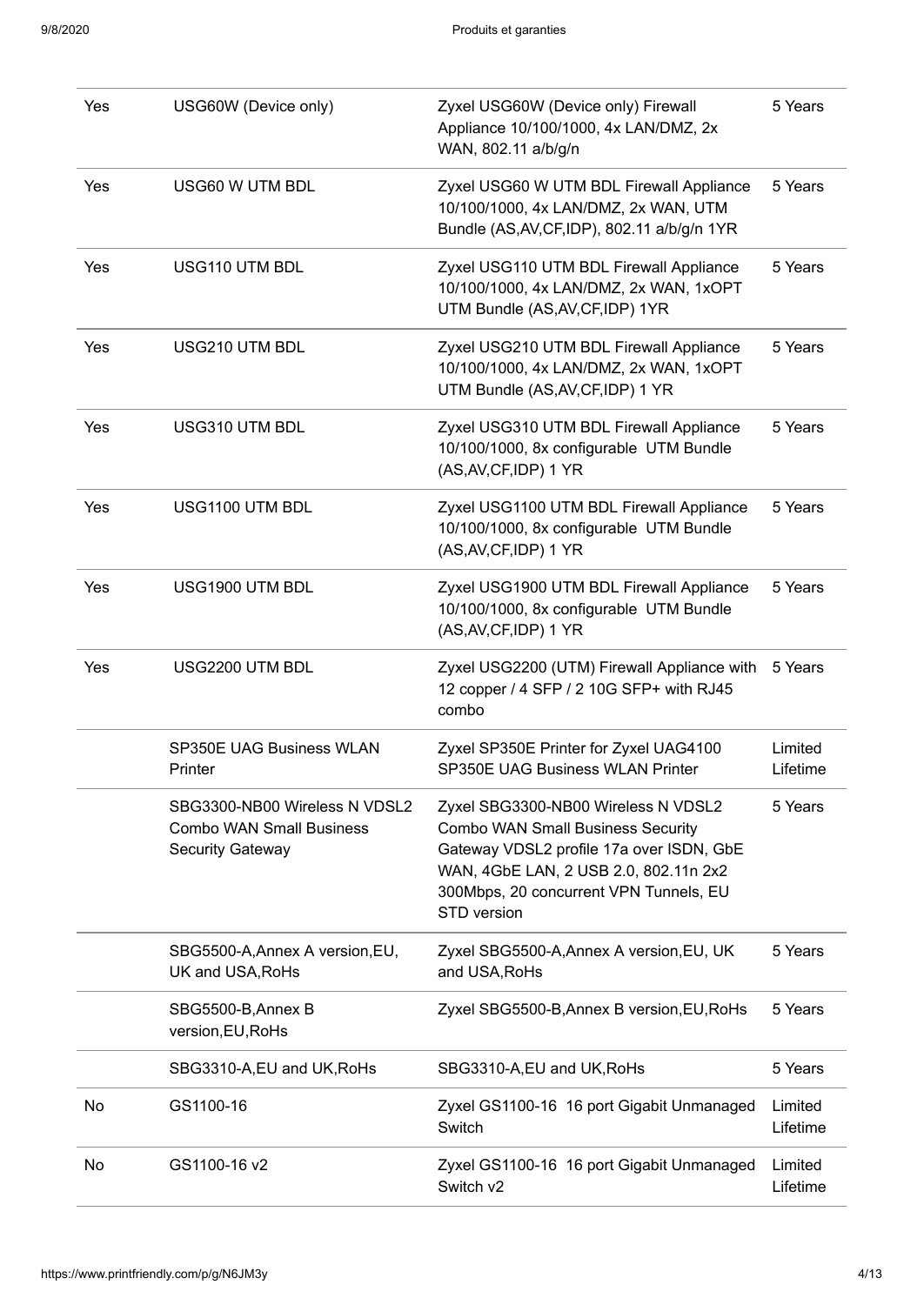| Yes | USG60W (Device only)                                                                        | Zyxel USG60W (Device only) Firewall<br>Appliance 10/100/1000, 4x LAN/DMZ, 2x<br>WAN, 802.11 a/b/g/n                                                                                                                           | 5 Years             |
|-----|---------------------------------------------------------------------------------------------|-------------------------------------------------------------------------------------------------------------------------------------------------------------------------------------------------------------------------------|---------------------|
| Yes | USG60 W UTM BDL                                                                             | Zyxel USG60 W UTM BDL Firewall Appliance<br>10/100/1000, 4x LAN/DMZ, 2x WAN, UTM<br>Bundle (AS, AV, CF, IDP), 802.11 a/b/g/n 1YR                                                                                              | 5 Years             |
| Yes | USG110 UTM BDL                                                                              | Zyxel USG110 UTM BDL Firewall Appliance<br>10/100/1000, 4x LAN/DMZ, 2x WAN, 1xOPT<br>UTM Bundle (AS, AV, CF, IDP) 1YR                                                                                                         | 5 Years             |
| Yes | USG210 UTM BDL                                                                              | Zyxel USG210 UTM BDL Firewall Appliance<br>10/100/1000, 4x LAN/DMZ, 2x WAN, 1xOPT<br>UTM Bundle (AS, AV, CF, IDP) 1 YR                                                                                                        | 5 Years             |
| Yes | USG310 UTM BDL                                                                              | Zyxel USG310 UTM BDL Firewall Appliance<br>10/100/1000, 8x configurable UTM Bundle<br>(AS, AV, CF, IDP) 1 YR                                                                                                                  | 5 Years             |
| Yes | USG1100 UTM BDL                                                                             | Zyxel USG1100 UTM BDL Firewall Appliance<br>10/100/1000, 8x configurable UTM Bundle<br>(AS, AV, CF, IDP) 1 YR                                                                                                                 | 5 Years             |
| Yes | USG1900 UTM BDL                                                                             | Zyxel USG1900 UTM BDL Firewall Appliance<br>10/100/1000, 8x configurable UTM Bundle<br>(AS, AV, CF, IDP) 1 YR                                                                                                                 | 5 Years             |
| Yes | USG2200 UTM BDL                                                                             | Zyxel USG2200 (UTM) Firewall Appliance with<br>12 copper / 4 SFP / 2 10G SFP+ with RJ45<br>combo                                                                                                                              | 5 Years             |
|     | <b>SP350E UAG Business WLAN</b><br>Printer                                                  | Zyxel SP350E Printer for Zyxel UAG4100<br><b>SP350E UAG Business WLAN Printer</b>                                                                                                                                             | Limited<br>Lifetime |
|     | SBG3300-NB00 Wireless N VDSL2<br><b>Combo WAN Small Business</b><br><b>Security Gateway</b> | Zyxel SBG3300-NB00 Wireless N VDSL2<br><b>Combo WAN Small Business Security</b><br>Gateway VDSL2 profile 17a over ISDN, GbE<br>WAN, 4GbE LAN, 2 USB 2.0, 802.11n 2x2<br>300Mbps, 20 concurrent VPN Tunnels, EU<br>STD version | 5 Years             |
|     | SBG5500-A, Annex A version, EU,<br>UK and USA, RoHs                                         | Zyxel SBG5500-A, Annex A version, EU, UK<br>and USA, RoHs                                                                                                                                                                     | 5 Years             |
|     | SBG5500-B, Annex B<br>version, EU, RoHs                                                     | Zyxel SBG5500-B, Annex B version, EU, RoHs                                                                                                                                                                                    | 5 Years             |
|     | SBG3310-A, EU and UK, RoHs                                                                  | SBG3310-A, EU and UK, RoHs                                                                                                                                                                                                    | 5 Years             |
| No  | GS1100-16                                                                                   | Zyxel GS1100-16 16 port Gigabit Unmanaged<br>Switch                                                                                                                                                                           | Limited<br>Lifetime |
| No  | GS1100-16 v2                                                                                | Zyxel GS1100-16 16 port Gigabit Unmanaged<br>Switch v2                                                                                                                                                                        | Limited<br>Lifetime |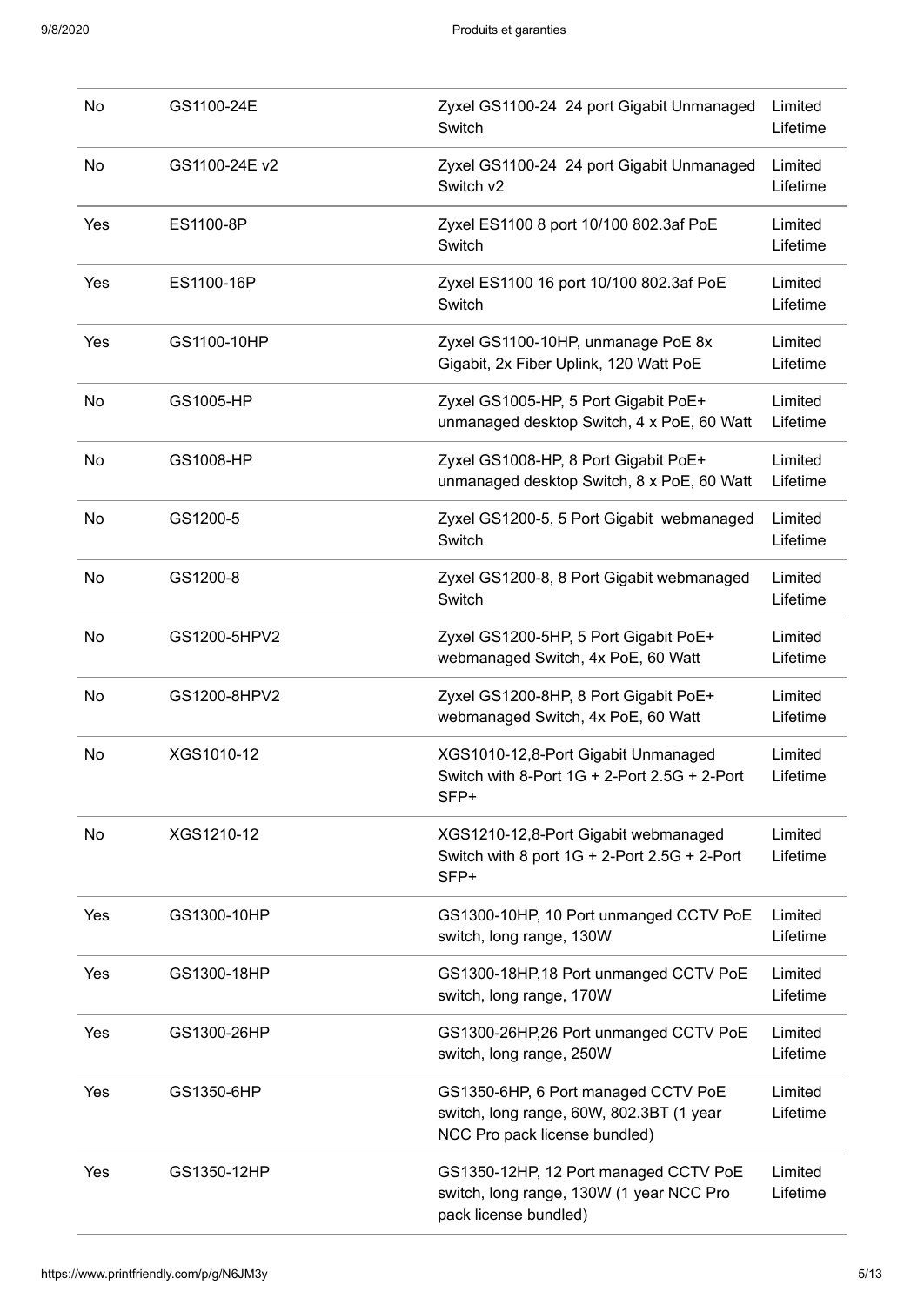| No  | GS1100-24E    | Zyxel GS1100-24 24 port Gigabit Unmanaged<br>Switch                                                              | Limited<br>Lifetime |
|-----|---------------|------------------------------------------------------------------------------------------------------------------|---------------------|
| No  | GS1100-24E v2 | Zyxel GS1100-24 24 port Gigabit Unmanaged<br>Switch v2                                                           | Limited<br>Lifetime |
| Yes | ES1100-8P     | Zyxel ES1100 8 port 10/100 802.3af PoE<br>Switch                                                                 | Limited<br>Lifetime |
| Yes | ES1100-16P    | Zyxel ES1100 16 port 10/100 802.3af PoE<br>Switch                                                                | Limited<br>Lifetime |
| Yes | GS1100-10HP   | Zyxel GS1100-10HP, unmanage PoE 8x<br>Gigabit, 2x Fiber Uplink, 120 Watt PoE                                     | Limited<br>Lifetime |
| No  | GS1005-HP     | Zyxel GS1005-HP, 5 Port Gigabit PoE+<br>unmanaged desktop Switch, 4 x PoE, 60 Watt                               | Limited<br>Lifetime |
| No  | GS1008-HP     | Zyxel GS1008-HP, 8 Port Gigabit PoE+<br>unmanaged desktop Switch, 8 x PoE, 60 Watt                               | Limited<br>Lifetime |
| No  | GS1200-5      | Zyxel GS1200-5, 5 Port Gigabit webmanaged<br>Switch                                                              | Limited<br>Lifetime |
| No  | GS1200-8      | Zyxel GS1200-8, 8 Port Gigabit webmanaged<br>Switch                                                              | Limited<br>Lifetime |
| No  | GS1200-5HPV2  | Zyxel GS1200-5HP, 5 Port Gigabit PoE+<br>webmanaged Switch, 4x PoE, 60 Watt                                      | Limited<br>Lifetime |
| No  | GS1200-8HPV2  | Zyxel GS1200-8HP, 8 Port Gigabit PoE+<br>webmanaged Switch, 4x PoE, 60 Watt                                      | Limited<br>Lifetime |
| No  | XGS1010-12    | XGS1010-12,8-Port Gigabit Unmanaged<br>Switch with 8-Port $1G + 2$ -Port 2.5G + 2-Port<br>SFP+                   | Limited<br>Lifetime |
| No  | XGS1210-12    | XGS1210-12,8-Port Gigabit webmanaged<br>Switch with 8 port $1G + 2$ -Port 2.5G + 2-Port<br>SFP+                  | Limited<br>Lifetime |
| Yes | GS1300-10HP   | GS1300-10HP, 10 Port unmanged CCTV PoE<br>switch, long range, 130W                                               | Limited<br>Lifetime |
| Yes | GS1300-18HP   | GS1300-18HP, 18 Port unmanged CCTV PoE<br>switch, long range, 170W                                               | Limited<br>Lifetime |
| Yes | GS1300-26HP   | GS1300-26HP,26 Port unmanged CCTV PoE<br>switch, long range, 250W                                                | Limited<br>Lifetime |
| Yes | GS1350-6HP    | GS1350-6HP, 6 Port managed CCTV PoE<br>switch, long range, 60W, 802.3BT (1 year<br>NCC Pro pack license bundled) | Limited<br>Lifetime |
| Yes | GS1350-12HP   | GS1350-12HP, 12 Port managed CCTV PoE<br>switch, long range, 130W (1 year NCC Pro<br>pack license bundled)       | Limited<br>Lifetime |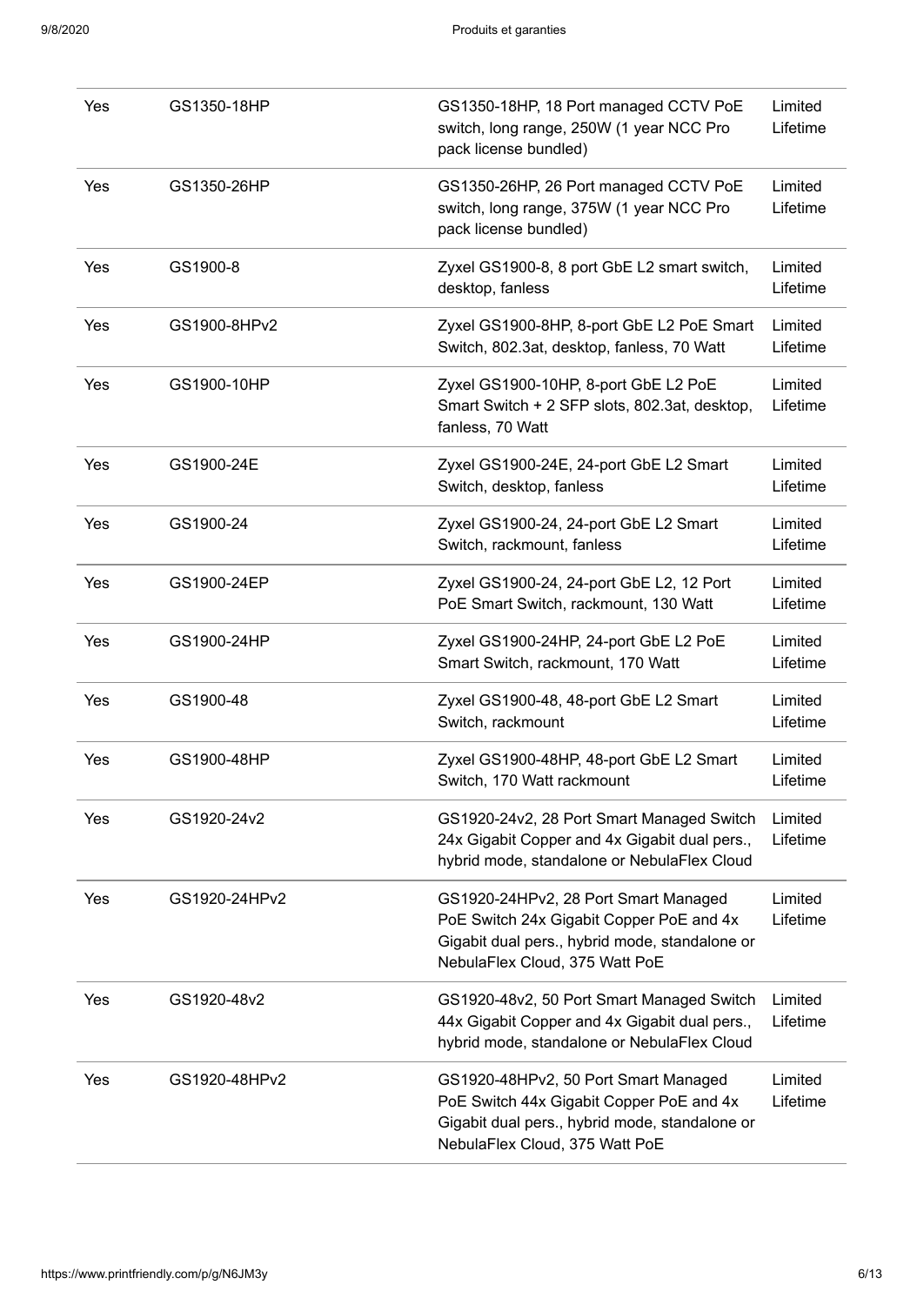| Yes | GS1350-18HP   | GS1350-18HP, 18 Port managed CCTV PoE<br>switch, long range, 250W (1 year NCC Pro<br>pack license bundled)                                                           | Limited<br>Lifetime |
|-----|---------------|----------------------------------------------------------------------------------------------------------------------------------------------------------------------|---------------------|
| Yes | GS1350-26HP   | GS1350-26HP, 26 Port managed CCTV PoE<br>switch, long range, 375W (1 year NCC Pro<br>pack license bundled)                                                           | Limited<br>Lifetime |
| Yes | GS1900-8      | Zyxel GS1900-8, 8 port GbE L2 smart switch,<br>desktop, fanless                                                                                                      | Limited<br>Lifetime |
| Yes | GS1900-8HPv2  | Zyxel GS1900-8HP, 8-port GbE L2 PoE Smart<br>Switch, 802.3at, desktop, fanless, 70 Watt                                                                              | Limited<br>Lifetime |
| Yes | GS1900-10HP   | Zyxel GS1900-10HP, 8-port GbE L2 PoE<br>Smart Switch + 2 SFP slots, 802.3at, desktop,<br>fanless, 70 Watt                                                            | Limited<br>Lifetime |
| Yes | GS1900-24E    | Zyxel GS1900-24E, 24-port GbE L2 Smart<br>Switch, desktop, fanless                                                                                                   | Limited<br>Lifetime |
| Yes | GS1900-24     | Zyxel GS1900-24, 24-port GbE L2 Smart<br>Switch, rackmount, fanless                                                                                                  | Limited<br>Lifetime |
| Yes | GS1900-24EP   | Zyxel GS1900-24, 24-port GbE L2, 12 Port<br>PoE Smart Switch, rackmount, 130 Watt                                                                                    | Limited<br>Lifetime |
| Yes | GS1900-24HP   | Zyxel GS1900-24HP, 24-port GbE L2 PoE<br>Smart Switch, rackmount, 170 Watt                                                                                           | Limited<br>Lifetime |
| Yes | GS1900-48     | Zyxel GS1900-48, 48-port GbE L2 Smart<br>Switch, rackmount                                                                                                           | Limited<br>Lifetime |
| Yes | GS1900-48HP   | Zyxel GS1900-48HP, 48-port GbE L2 Smart<br>Switch, 170 Watt rackmount                                                                                                | Limited<br>Lifetime |
| Yes | GS1920-24v2   | GS1920-24v2, 28 Port Smart Managed Switch<br>24x Gigabit Copper and 4x Gigabit dual pers.,<br>hybrid mode, standalone or NebulaFlex Cloud                            | Limited<br>Lifetime |
| Yes | GS1920-24HPv2 | GS1920-24HPv2, 28 Port Smart Managed<br>PoE Switch 24x Gigabit Copper PoE and 4x<br>Gigabit dual pers., hybrid mode, standalone or<br>NebulaFlex Cloud, 375 Watt PoE | Limited<br>Lifetime |
| Yes | GS1920-48v2   | GS1920-48v2, 50 Port Smart Managed Switch<br>44x Gigabit Copper and 4x Gigabit dual pers.,<br>hybrid mode, standalone or NebulaFlex Cloud                            | Limited<br>Lifetime |
| Yes | GS1920-48HPv2 | GS1920-48HPv2, 50 Port Smart Managed<br>PoE Switch 44x Gigabit Copper PoE and 4x<br>Gigabit dual pers., hybrid mode, standalone or<br>NebulaFlex Cloud, 375 Watt PoE | Limited<br>Lifetime |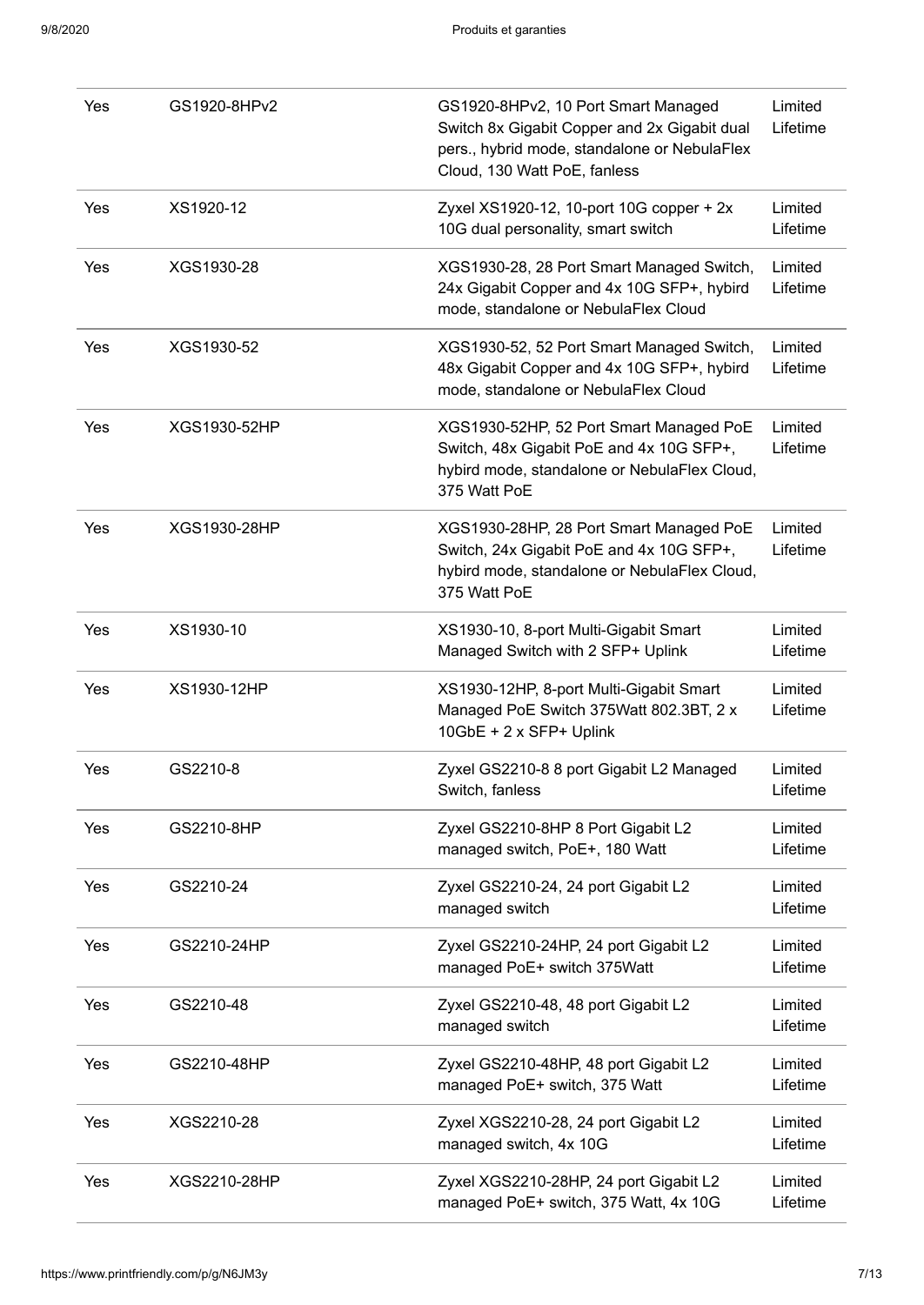| Yes | GS1920-8HPv2 | GS1920-8HPv2, 10 Port Smart Managed<br>Switch 8x Gigabit Copper and 2x Gigabit dual<br>pers., hybrid mode, standalone or NebulaFlex<br>Cloud, 130 Watt PoE, fanless | Limited<br>Lifetime |
|-----|--------------|---------------------------------------------------------------------------------------------------------------------------------------------------------------------|---------------------|
| Yes | XS1920-12    | Zyxel XS1920-12, 10-port 10G copper + 2x<br>10G dual personality, smart switch                                                                                      | Limited<br>Lifetime |
| Yes | XGS1930-28   | XGS1930-28, 28 Port Smart Managed Switch,<br>24x Gigabit Copper and 4x 10G SFP+, hybird<br>mode, standalone or NebulaFlex Cloud                                     | Limited<br>Lifetime |
| Yes | XGS1930-52   | XGS1930-52, 52 Port Smart Managed Switch,<br>48x Gigabit Copper and 4x 10G SFP+, hybird<br>mode, standalone or NebulaFlex Cloud                                     | Limited<br>Lifetime |
| Yes | XGS1930-52HP | XGS1930-52HP, 52 Port Smart Managed PoE<br>Switch, 48x Gigabit PoE and 4x 10G SFP+,<br>hybird mode, standalone or NebulaFlex Cloud,<br>375 Watt PoE                 | Limited<br>Lifetime |
| Yes | XGS1930-28HP | XGS1930-28HP, 28 Port Smart Managed PoE<br>Switch, 24x Gigabit PoE and 4x 10G SFP+,<br>hybird mode, standalone or NebulaFlex Cloud,<br>375 Watt PoE                 | Limited<br>Lifetime |
| Yes | XS1930-10    | XS1930-10, 8-port Multi-Gigabit Smart<br>Managed Switch with 2 SFP+ Uplink                                                                                          | Limited<br>Lifetime |
| Yes | XS1930-12HP  | XS1930-12HP, 8-port Multi-Gigabit Smart<br>Managed PoE Switch 375Watt 802.3BT, 2 x<br>10GbE + 2 x SFP+ Uplink                                                       | Limited<br>Lifetime |
| Yes | GS2210-8     | Zyxel GS2210-8 8 port Gigabit L2 Managed<br>Switch, fanless                                                                                                         | Limited<br>Lifetime |
| Yes | GS2210-8HP   | Zyxel GS2210-8HP 8 Port Gigabit L2<br>managed switch, PoE+, 180 Watt                                                                                                | Limited<br>Lifetime |
| Yes | GS2210-24    | Zyxel GS2210-24, 24 port Gigabit L2<br>managed switch                                                                                                               | Limited<br>Lifetime |
| Yes | GS2210-24HP  | Zyxel GS2210-24HP, 24 port Gigabit L2<br>managed PoE+ switch 375Watt                                                                                                | Limited<br>Lifetime |
| Yes | GS2210-48    | Zyxel GS2210-48, 48 port Gigabit L2<br>managed switch                                                                                                               | Limited<br>Lifetime |
| Yes | GS2210-48HP  | Zyxel GS2210-48HP, 48 port Gigabit L2<br>managed PoE+ switch, 375 Watt                                                                                              | Limited<br>Lifetime |
| Yes | XGS2210-28   | Zyxel XGS2210-28, 24 port Gigabit L2<br>managed switch, 4x 10G                                                                                                      | Limited<br>Lifetime |
| Yes | XGS2210-28HP | Zyxel XGS2210-28HP, 24 port Gigabit L2<br>managed PoE+ switch, 375 Watt, 4x 10G                                                                                     | Limited<br>Lifetime |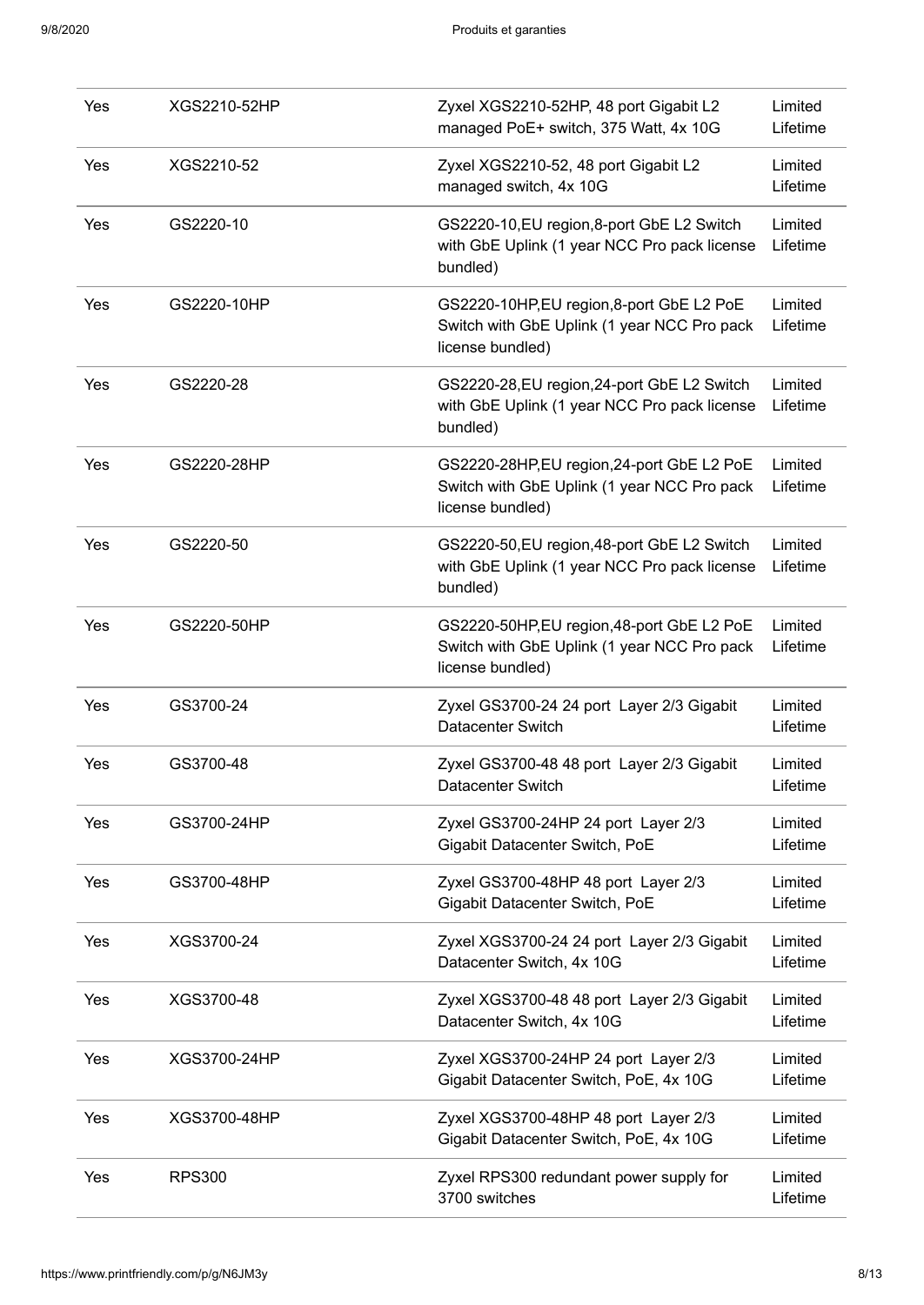| Yes | XGS2210-52HP  | Zyxel XGS2210-52HP, 48 port Gigabit L2<br>managed PoE+ switch, 375 Watt, 4x 10G                              | Limited<br>Lifetime |
|-----|---------------|--------------------------------------------------------------------------------------------------------------|---------------------|
| Yes | XGS2210-52    | Zyxel XGS2210-52, 48 port Gigabit L2<br>managed switch, 4x 10G                                               | Limited<br>Lifetime |
| Yes | GS2220-10     | GS2220-10, EU region, 8-port GbE L2 Switch<br>with GbE Uplink (1 year NCC Pro pack license<br>bundled)       | Limited<br>Lifetime |
| Yes | GS2220-10HP   | GS2220-10HP, EU region, 8-port GbE L2 PoE<br>Switch with GbE Uplink (1 year NCC Pro pack<br>license bundled) | Limited<br>Lifetime |
| Yes | GS2220-28     | GS2220-28, EU region, 24-port GbE L2 Switch<br>with GbE Uplink (1 year NCC Pro pack license<br>bundled)      | Limited<br>Lifetime |
| Yes | GS2220-28HP   | GS2220-28HP,EU region,24-port GbE L2 PoE<br>Switch with GbE Uplink (1 year NCC Pro pack<br>license bundled)  | Limited<br>Lifetime |
| Yes | GS2220-50     | GS2220-50, EU region, 48-port GbE L2 Switch<br>with GbE Uplink (1 year NCC Pro pack license<br>bundled)      | Limited<br>Lifetime |
| Yes | GS2220-50HP   | GS2220-50HP,EU region,48-port GbE L2 PoE<br>Switch with GbE Uplink (1 year NCC Pro pack<br>license bundled)  | Limited<br>Lifetime |
| Yes | GS3700-24     | Zyxel GS3700-24 24 port Layer 2/3 Gigabit<br>Datacenter Switch                                               | Limited<br>Lifetime |
| Yes | GS3700-48     | Zyxel GS3700-48 48 port Layer 2/3 Gigabit<br>Datacenter Switch                                               | Limited<br>Lifetime |
| Yes | GS3700-24HP   | Zyxel GS3700-24HP 24 port Layer 2/3<br>Gigabit Datacenter Switch, PoE                                        | Limited<br>Lifetime |
| Yes | GS3700-48HP   | Zyxel GS3700-48HP 48 port Layer 2/3<br>Gigabit Datacenter Switch, PoE                                        | Limited<br>Lifetime |
| Yes | XGS3700-24    | Zyxel XGS3700-24 24 port Layer 2/3 Gigabit<br>Datacenter Switch, 4x 10G                                      | Limited<br>Lifetime |
| Yes | XGS3700-48    | Zyxel XGS3700-48 48 port Layer 2/3 Gigabit<br>Datacenter Switch, 4x 10G                                      | Limited<br>Lifetime |
| Yes | XGS3700-24HP  | Zyxel XGS3700-24HP 24 port Layer 2/3<br>Gigabit Datacenter Switch, PoE, 4x 10G                               | Limited<br>Lifetime |
| Yes | XGS3700-48HP  | Zyxel XGS3700-48HP 48 port Layer 2/3<br>Gigabit Datacenter Switch, PoE, 4x 10G                               | Limited<br>Lifetime |
| Yes | <b>RPS300</b> | Zyxel RPS300 redundant power supply for<br>3700 switches                                                     | Limited<br>Lifetime |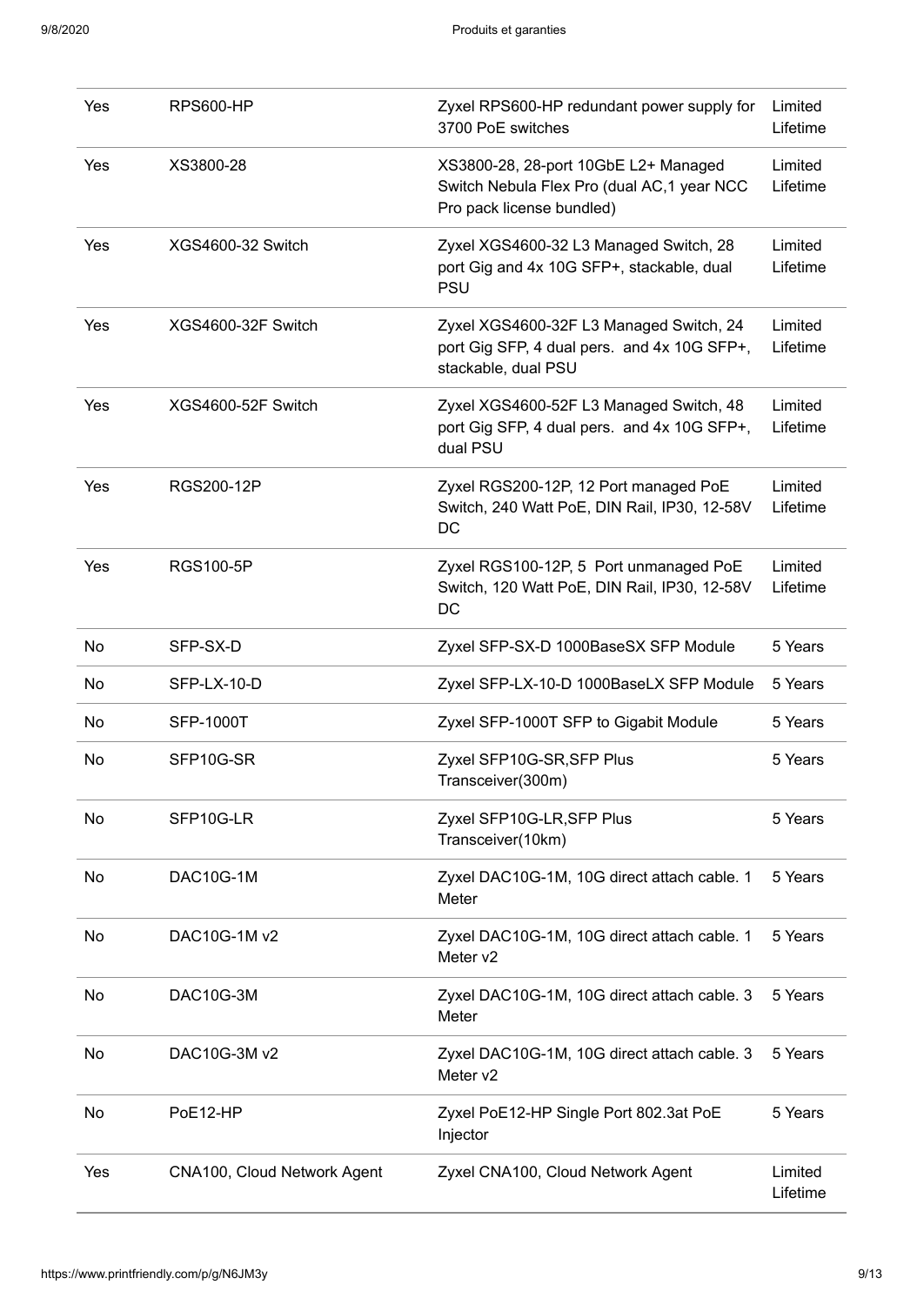| Yes | <b>RPS600-HP</b>            | Zyxel RPS600-HP redundant power supply for<br>3700 PoE switches                                                  | Limited<br>Lifetime |
|-----|-----------------------------|------------------------------------------------------------------------------------------------------------------|---------------------|
| Yes | XS3800-28                   | XS3800-28, 28-port 10GbE L2+ Managed<br>Switch Nebula Flex Pro (dual AC, 1 year NCC<br>Pro pack license bundled) | Limited<br>Lifetime |
| Yes | XGS4600-32 Switch           | Zyxel XGS4600-32 L3 Managed Switch, 28<br>port Gig and 4x 10G SFP+, stackable, dual<br><b>PSU</b>                | Limited<br>Lifetime |
| Yes | XGS4600-32F Switch          | Zyxel XGS4600-32F L3 Managed Switch, 24<br>port Gig SFP, 4 dual pers. and 4x 10G SFP+,<br>stackable, dual PSU    | Limited<br>Lifetime |
| Yes | XGS4600-52F Switch          | Zyxel XGS4600-52F L3 Managed Switch, 48<br>port Gig SFP, 4 dual pers. and 4x 10G SFP+,<br>dual PSU               | Limited<br>Lifetime |
| Yes | RGS200-12P                  | Zyxel RGS200-12P, 12 Port managed PoE<br>Switch, 240 Watt PoE, DIN Rail, IP30, 12-58V<br>DC                      | Limited<br>Lifetime |
| Yes | <b>RGS100-5P</b>            | Zyxel RGS100-12P, 5 Port unmanaged PoE<br>Switch, 120 Watt PoE, DIN Rail, IP30, 12-58V<br>DC                     | Limited<br>Lifetime |
| No  | SFP-SX-D                    | Zyxel SFP-SX-D 1000BaseSX SFP Module                                                                             | 5 Years             |
| No  | SFP-LX-10-D                 | Zyxel SFP-LX-10-D 1000BaseLX SFP Module                                                                          | 5 Years             |
| No  | <b>SFP-1000T</b>            | Zyxel SFP-1000T SFP to Gigabit Module                                                                            | 5 Years             |
| No  | SFP10G-SR                   | Zyxel SFP10G-SR, SFP Plus<br>Transceiver(300m)                                                                   | 5 Years             |
| No  | SFP10G-LR                   | Zyxel SFP10G-LR, SFP Plus<br>Transceiver(10km)                                                                   | 5 Years             |
| No  | DAC10G-1M                   | Zyxel DAC10G-1M, 10G direct attach cable. 1<br>Meter                                                             | 5 Years             |
| No  | DAC10G-1M v2                | Zyxel DAC10G-1M, 10G direct attach cable. 1<br>Meter v2                                                          | 5 Years             |
| No  | DAC10G-3M                   | Zyxel DAC10G-1M, 10G direct attach cable. 3<br>Meter                                                             | 5 Years             |
| No  | DAC10G-3M v2                | Zyxel DAC10G-1M, 10G direct attach cable. 3<br>Meter v2                                                          | 5 Years             |
| No  | PoE12-HP                    | Zyxel PoE12-HP Single Port 802.3at PoE<br>Injector                                                               | 5 Years             |
| Yes | CNA100, Cloud Network Agent | Zyxel CNA100, Cloud Network Agent                                                                                | Limited<br>Lifetime |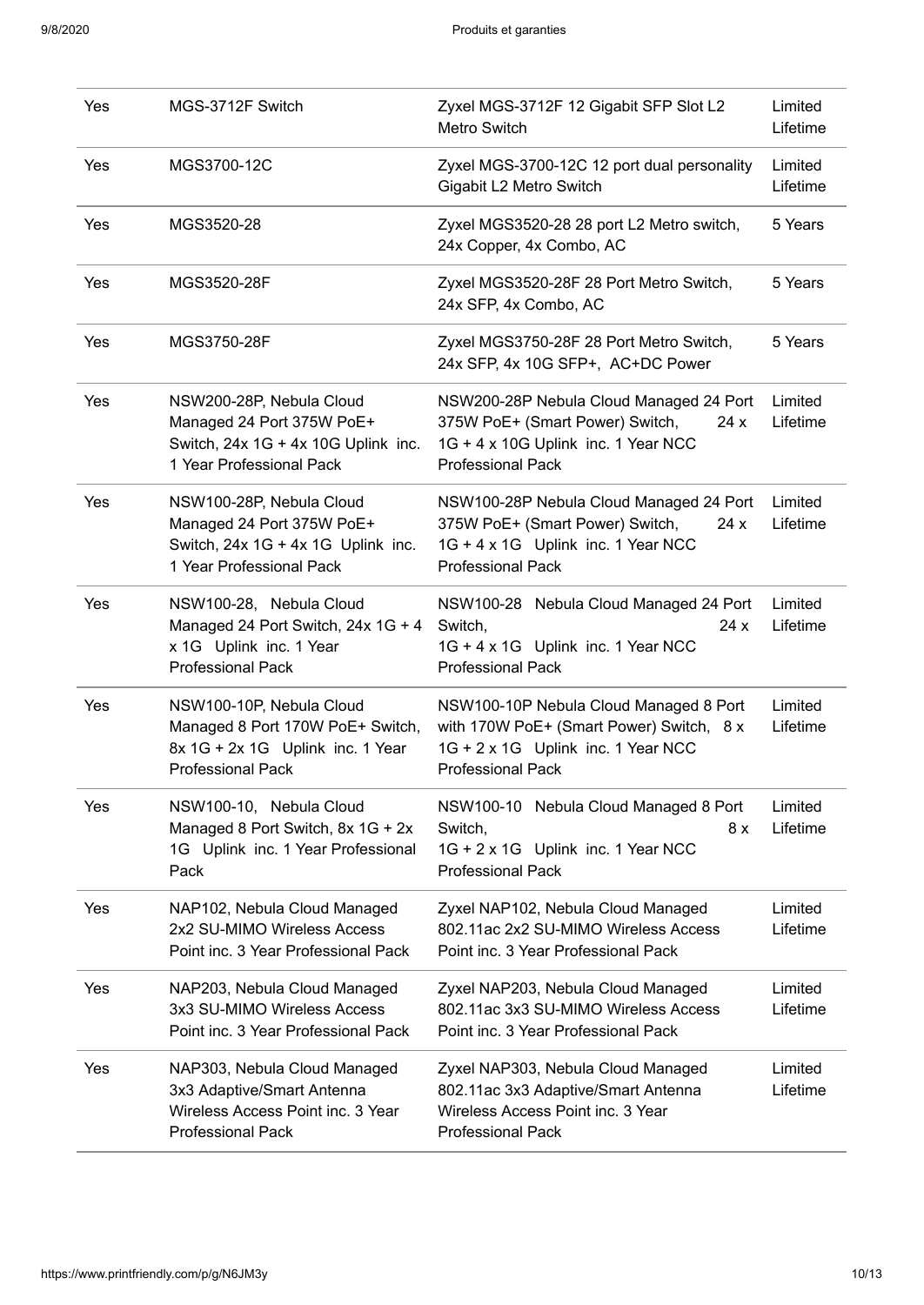| Yes | MGS-3712F Switch                                                                                                             | Zyxel MGS-3712F 12 Gigabit SFP Slot L2<br>Metro Switch                                                                                                | Limited<br>Lifetime |
|-----|------------------------------------------------------------------------------------------------------------------------------|-------------------------------------------------------------------------------------------------------------------------------------------------------|---------------------|
| Yes | MGS3700-12C                                                                                                                  | Zyxel MGS-3700-12C 12 port dual personality<br>Gigabit L2 Metro Switch                                                                                | Limited<br>Lifetime |
| Yes | MGS3520-28                                                                                                                   | Zyxel MGS3520-28 28 port L2 Metro switch,<br>24x Copper, 4x Combo, AC                                                                                 | 5 Years             |
| Yes | MGS3520-28F                                                                                                                  | Zyxel MGS3520-28F 28 Port Metro Switch,<br>24x SFP, 4x Combo, AC                                                                                      | 5 Years             |
| Yes | MGS3750-28F                                                                                                                  | Zyxel MGS3750-28F 28 Port Metro Switch,<br>24x SFP, 4x 10G SFP+, AC+DC Power                                                                          | 5 Years             |
| Yes | NSW200-28P, Nebula Cloud<br>Managed 24 Port 375W PoE+<br>Switch, $24x$ 1G + $4x$ 10G Uplink inc.<br>1 Year Professional Pack | NSW200-28P Nebula Cloud Managed 24 Port<br>375W PoE+ (Smart Power) Switch,<br>24 x<br>1G + 4 x 10G Uplink inc. 1 Year NCC<br><b>Professional Pack</b> | Limited<br>Lifetime |
| Yes | NSW100-28P, Nebula Cloud<br>Managed 24 Port 375W PoE+<br>Switch, 24x 1G + 4x 1G Uplink inc.<br>1 Year Professional Pack      | NSW100-28P Nebula Cloud Managed 24 Port<br>375W PoE+ (Smart Power) Switch,<br>24x<br>1G + 4 x 1G Uplink inc. 1 Year NCC<br><b>Professional Pack</b>   | Limited<br>Lifetime |
| Yes | NSW100-28, Nebula Cloud<br>Managed 24 Port Switch, 24x 1G + 4<br>x 1G Uplink inc. 1 Year<br><b>Professional Pack</b>         | NSW100-28 Nebula Cloud Managed 24 Port<br>24x<br>Switch,<br>1G + 4 x 1G Uplink inc. 1 Year NCC<br><b>Professional Pack</b>                            | Limited<br>Lifetime |
| Yes | NSW100-10P, Nebula Cloud<br>Managed 8 Port 170W PoE+ Switch,<br>8x 1G + 2x 1G Uplink inc. 1 Year<br><b>Professional Pack</b> | NSW100-10P Nebula Cloud Managed 8 Port<br>with 170W PoE+ (Smart Power) Switch, 8 x<br>1G + 2 x 1G Uplink inc. 1 Year NCC<br><b>Professional Pack</b>  | Limited<br>Lifetime |
| Yes | NSW100-10, Nebula Cloud<br>Managed 8 Port Switch, 8x 1G + 2x<br>1G Uplink inc. 1 Year Professional<br>Pack                   | NSW100-10 Nebula Cloud Managed 8 Port<br>Switch,<br>8 x<br>1G + 2 x 1G Uplink inc. 1 Year NCC<br><b>Professional Pack</b>                             | Limited<br>Lifetime |
| Yes | NAP102, Nebula Cloud Managed<br>2x2 SU-MIMO Wireless Access<br>Point inc. 3 Year Professional Pack                           | Zyxel NAP102, Nebula Cloud Managed<br>802.11ac 2x2 SU-MIMO Wireless Access<br>Point inc. 3 Year Professional Pack                                     | Limited<br>Lifetime |
| Yes | NAP203, Nebula Cloud Managed<br>3x3 SU-MIMO Wireless Access<br>Point inc. 3 Year Professional Pack                           | Zyxel NAP203, Nebula Cloud Managed<br>802.11ac 3x3 SU-MIMO Wireless Access<br>Point inc. 3 Year Professional Pack                                     | Limited<br>Lifetime |
| Yes | NAP303, Nebula Cloud Managed<br>3x3 Adaptive/Smart Antenna<br>Wireless Access Point inc. 3 Year<br><b>Professional Pack</b>  | Zyxel NAP303, Nebula Cloud Managed<br>802.11ac 3x3 Adaptive/Smart Antenna<br>Wireless Access Point inc. 3 Year<br>Professional Pack                   | Limited<br>Lifetime |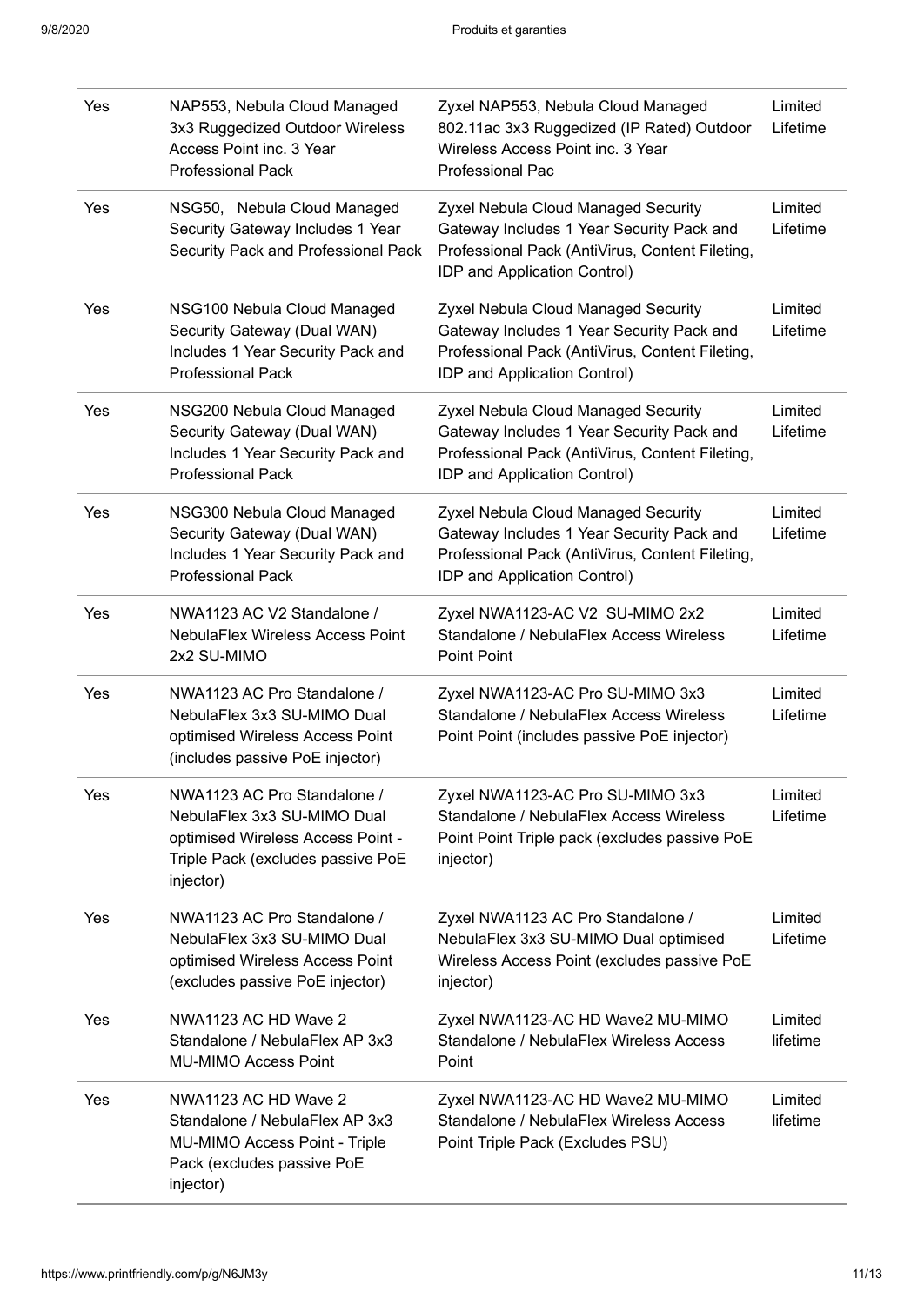| Yes | NAP553, Nebula Cloud Managed<br>3x3 Ruggedized Outdoor Wireless<br>Access Point inc. 3 Year<br><b>Professional Pack</b>                           | Zyxel NAP553, Nebula Cloud Managed<br>802.11ac 3x3 Ruggedized (IP Rated) Outdoor<br>Wireless Access Point inc. 3 Year<br><b>Professional Pac</b>                    | Limited<br>Lifetime |
|-----|---------------------------------------------------------------------------------------------------------------------------------------------------|---------------------------------------------------------------------------------------------------------------------------------------------------------------------|---------------------|
| Yes | NSG50, Nebula Cloud Managed<br>Security Gateway Includes 1 Year<br>Security Pack and Professional Pack                                            | Zyxel Nebula Cloud Managed Security<br>Gateway Includes 1 Year Security Pack and<br>Professional Pack (AntiVirus, Content Fileting,<br>IDP and Application Control) | Limited<br>Lifetime |
| Yes | NSG100 Nebula Cloud Managed<br>Security Gateway (Dual WAN)<br>Includes 1 Year Security Pack and<br><b>Professional Pack</b>                       | Zyxel Nebula Cloud Managed Security<br>Gateway Includes 1 Year Security Pack and<br>Professional Pack (AntiVirus, Content Fileting,<br>IDP and Application Control) | Limited<br>Lifetime |
| Yes | NSG200 Nebula Cloud Managed<br>Security Gateway (Dual WAN)<br>Includes 1 Year Security Pack and<br><b>Professional Pack</b>                       | Zyxel Nebula Cloud Managed Security<br>Gateway Includes 1 Year Security Pack and<br>Professional Pack (AntiVirus, Content Fileting,<br>IDP and Application Control) | Limited<br>Lifetime |
| Yes | NSG300 Nebula Cloud Managed<br>Security Gateway (Dual WAN)<br>Includes 1 Year Security Pack and<br><b>Professional Pack</b>                       | Zyxel Nebula Cloud Managed Security<br>Gateway Includes 1 Year Security Pack and<br>Professional Pack (AntiVirus, Content Fileting,<br>IDP and Application Control) | Limited<br>Lifetime |
| Yes | NWA1123 AC V2 Standalone /<br><b>NebulaFlex Wireless Access Point</b><br>2x2 SU-MIMO                                                              | Zyxel NWA1123-AC V2 SU-MIMO 2x2<br>Standalone / NebulaFlex Access Wireless<br><b>Point Point</b>                                                                    | Limited<br>Lifetime |
| Yes | NWA1123 AC Pro Standalone /<br>NebulaFlex 3x3 SU-MIMO Dual<br>optimised Wireless Access Point<br>(includes passive PoE injector)                  | Zyxel NWA1123-AC Pro SU-MIMO 3x3<br>Standalone / NebulaFlex Access Wireless<br>Point Point (includes passive PoE injector)                                          | Limited<br>Lifetime |
| Yes | NWA1123 AC Pro Standalone /<br>NebulaFlex 3x3 SU-MIMO Dual<br>optimised Wireless Access Point -<br>Triple Pack (excludes passive PoE<br>injector) | Zyxel NWA1123-AC Pro SU-MIMO 3x3<br>Standalone / NebulaFlex Access Wireless<br>Point Point Triple pack (excludes passive PoE<br>injector)                           | Limited<br>Lifetime |
| Yes | NWA1123 AC Pro Standalone /<br>NebulaFlex 3x3 SU-MIMO Dual<br>optimised Wireless Access Point<br>(excludes passive PoE injector)                  | Zyxel NWA1123 AC Pro Standalone /<br>NebulaFlex 3x3 SU-MIMO Dual optimised<br>Wireless Access Point (excludes passive PoE<br>injector)                              | Limited<br>Lifetime |
| Yes | NWA1123 AC HD Wave 2<br>Standalone / NebulaFlex AP 3x3<br><b>MU-MIMO Access Point</b>                                                             | Zyxel NWA1123-AC HD Wave2 MU-MIMO<br>Standalone / NebulaFlex Wireless Access<br>Point                                                                               | Limited<br>lifetime |
| Yes | NWA1123 AC HD Wave 2<br>Standalone / NebulaFlex AP 3x3<br>MU-MIMO Access Point - Triple<br>Pack (excludes passive PoE<br>injector)                | Zyxel NWA1123-AC HD Wave2 MU-MIMO<br>Standalone / NebulaFlex Wireless Access<br>Point Triple Pack (Excludes PSU)                                                    | Limited<br>lifetime |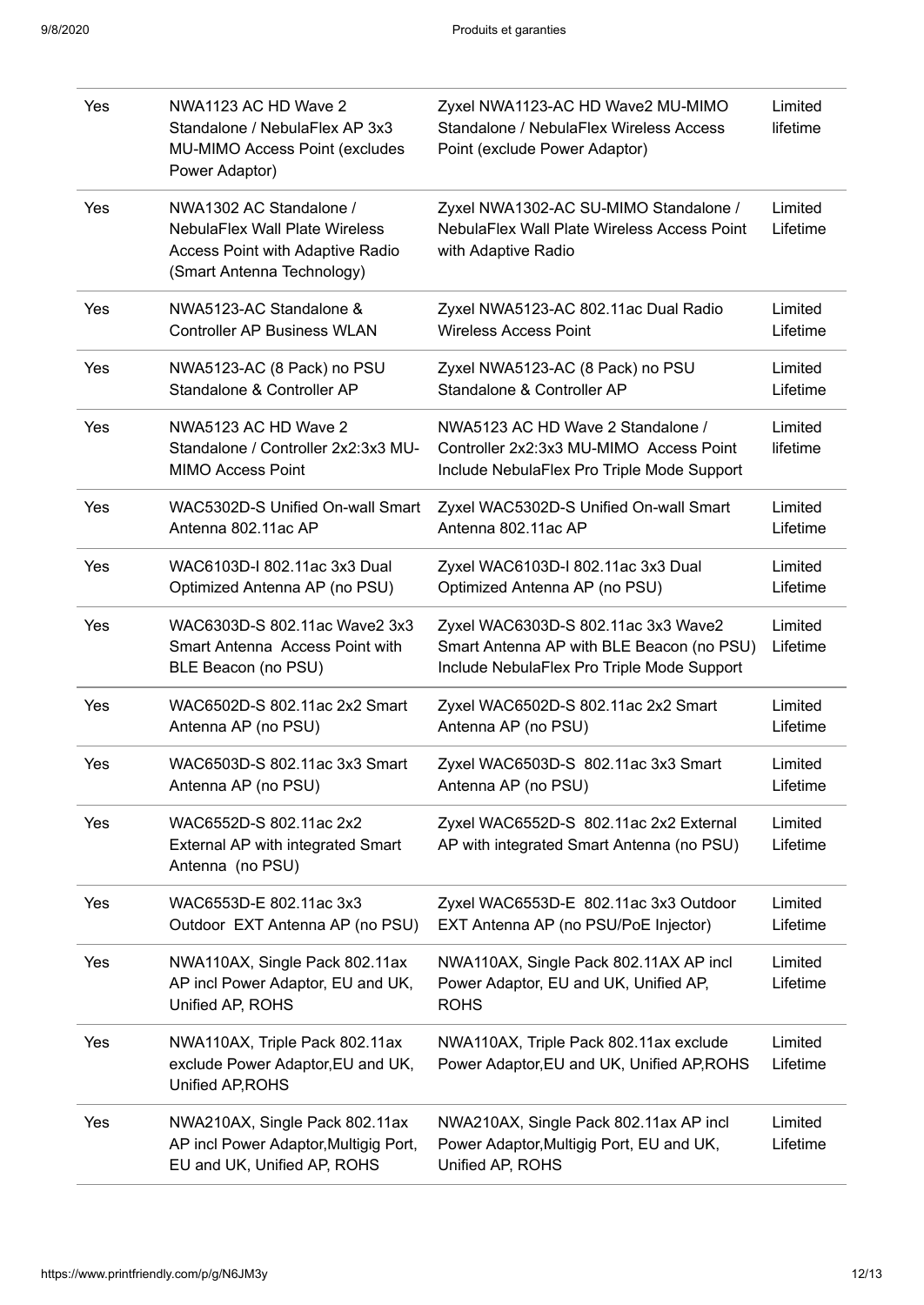| Yes | NWA1123 AC HD Wave 2<br>Standalone / NebulaFlex AP 3x3<br>MU-MIMO Access Point (excludes<br>Power Adaptor)                         | Zyxel NWA1123-AC HD Wave2 MU-MIMO<br>Standalone / NebulaFlex Wireless Access<br>Point (exclude Power Adaptor)                  | Limited<br>lifetime |
|-----|------------------------------------------------------------------------------------------------------------------------------------|--------------------------------------------------------------------------------------------------------------------------------|---------------------|
| Yes | NWA1302 AC Standalone /<br><b>NebulaFlex Wall Plate Wireless</b><br>Access Point with Adaptive Radio<br>(Smart Antenna Technology) | Zyxel NWA1302-AC SU-MIMO Standalone /<br>NebulaFlex Wall Plate Wireless Access Point<br>with Adaptive Radio                    | Limited<br>Lifetime |
| Yes | NWA5123-AC Standalone &<br><b>Controller AP Business WLAN</b>                                                                      | Zyxel NWA5123-AC 802.11ac Dual Radio<br><b>Wireless Access Point</b>                                                           | Limited<br>Lifetime |
| Yes | NWA5123-AC (8 Pack) no PSU<br>Standalone & Controller AP                                                                           | Zyxel NWA5123-AC (8 Pack) no PSU<br>Standalone & Controller AP                                                                 | Limited<br>Lifetime |
| Yes | NWA5123 AC HD Wave 2<br>Standalone / Controller 2x2:3x3 MU-<br><b>MIMO Access Point</b>                                            | NWA5123 AC HD Wave 2 Standalone /<br>Controller 2x2:3x3 MU-MIMO Access Point<br>Include NebulaFlex Pro Triple Mode Support     | Limited<br>lifetime |
| Yes | WAC5302D-S Unified On-wall Smart<br>Antenna 802.11ac AP                                                                            | Zyxel WAC5302D-S Unified On-wall Smart<br>Antenna 802.11ac AP                                                                  | Limited<br>Lifetime |
| Yes | WAC6103D-I 802.11ac 3x3 Dual<br>Optimized Antenna AP (no PSU)                                                                      | Zyxel WAC6103D-I 802.11ac 3x3 Dual<br>Optimized Antenna AP (no PSU)                                                            | Limited<br>Lifetime |
| Yes | WAC6303D-S 802.11ac Wave2 3x3<br>Smart Antenna Access Point with<br>BLE Beacon (no PSU)                                            | Zyxel WAC6303D-S 802.11ac 3x3 Wave2<br>Smart Antenna AP with BLE Beacon (no PSU)<br>Include NebulaFlex Pro Triple Mode Support | Limited<br>Lifetime |
| Yes | WAC6502D-S 802.11ac 2x2 Smart<br>Antenna AP (no PSU)                                                                               | Zyxel WAC6502D-S 802.11ac 2x2 Smart<br>Antenna AP (no PSU)                                                                     | Limited<br>Lifetime |
| Yes | WAC6503D-S 802.11ac 3x3 Smart<br>Antenna AP (no PSU)                                                                               | Zyxel WAC6503D-S 802.11ac 3x3 Smart<br>Antenna AP (no PSU)                                                                     | Limited<br>Lifetime |
| Yes | WAC6552D-S 802.11ac 2x2<br>External AP with integrated Smart<br>Antenna (no PSU)                                                   | Zyxel WAC6552D-S 802.11ac 2x2 External<br>AP with integrated Smart Antenna (no PSU)                                            | Limited<br>Lifetime |
| Yes | WAC6553D-E 802.11ac 3x3<br>Outdoor EXT Antenna AP (no PSU)                                                                         | Zyxel WAC6553D-E 802.11ac 3x3 Outdoor<br>EXT Antenna AP (no PSU/PoE Injector)                                                  | Limited<br>Lifetime |
| Yes | NWA110AX, Single Pack 802.11ax<br>AP incl Power Adaptor, EU and UK,<br>Unified AP, ROHS                                            | NWA110AX, Single Pack 802.11AX AP incl<br>Power Adaptor, EU and UK, Unified AP,<br><b>ROHS</b>                                 | Limited<br>Lifetime |
| Yes | NWA110AX, Triple Pack 802.11ax<br>exclude Power Adaptor, EU and UK,<br>Unified AP, ROHS                                            | NWA110AX, Triple Pack 802.11ax exclude<br>Power Adaptor, EU and UK, Unified AP, ROHS                                           | Limited<br>Lifetime |
| Yes | NWA210AX, Single Pack 802.11ax<br>AP incl Power Adaptor, Multigig Port,<br>EU and UK, Unified AP, ROHS                             | NWA210AX, Single Pack 802.11ax AP incl<br>Power Adaptor, Multigig Port, EU and UK,<br>Unified AP, ROHS                         | Limited<br>Lifetime |